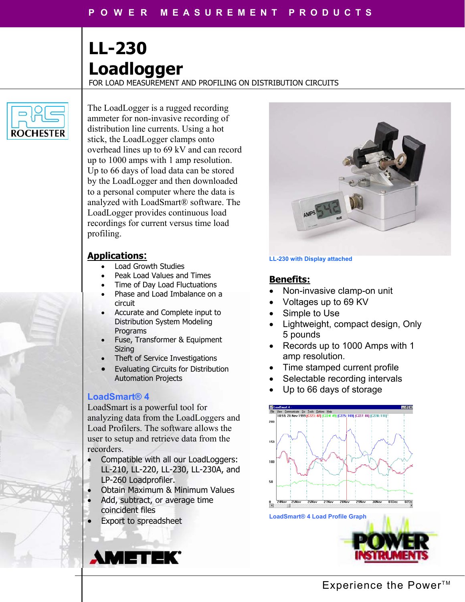# **LL-230 Loadlogger**

FOR LOAD MEASUREMENT AND PROFILING ON DISTRIBUTION CIRCUITS



The LoadLogger is a rugged recording ammeter for non-invasive recording of distribution line currents. Using a hot stick, the LoadLogger clamps onto overhead lines up to 69 kV and can record up to 1000 amps with 1 amp resolution. Up to 66 days of load data can be stored by the LoadLogger and then downloaded to a personal computer where the data is analyzed with LoadSmart® software. The LoadLogger provides continuous load recordings for current versus time load profiling.

## **Applications:**

- Load Growth Studies
- Peak Load Values and Times
- Time of Day Load Fluctuations
- Phase and Load Imbalance on a circuit
- Accurate and Complete input to Distribution System Modeling Programs
- Fuse, Transformer & Equipment Sizing
- Theft of Service Investigations
- Evaluating Circuits for Distribution Automation Projects

## **LoadSmart® 4**

LoadSmart is a powerful tool for analyzing data from the LoadLoggers and Load Profilers. The software allows the user to setup and retrieve data from the recorders.

- Compatible with all our LoadLoggers: LL-210, LL-220, LL-230, LL-230A, and LP-260 Loadprofiler.
- Obtain Maximum & Minimum Values
- Add, subtract, or average time coincident files
- Export to spreadsheet

**AMETEK** 



#### **LL-230 with Display attached**

## **Benefits:**

- Non-invasive clamp-on unit
- Voltages up to 69 KV
- Simple to Use
- Lightweight, compact design, Only 5 pounds
- Records up to 1000 Amps with 1 amp resolution.
- Time stamped current profile
- Selectable recording intervals
- Up to 66 days of storage